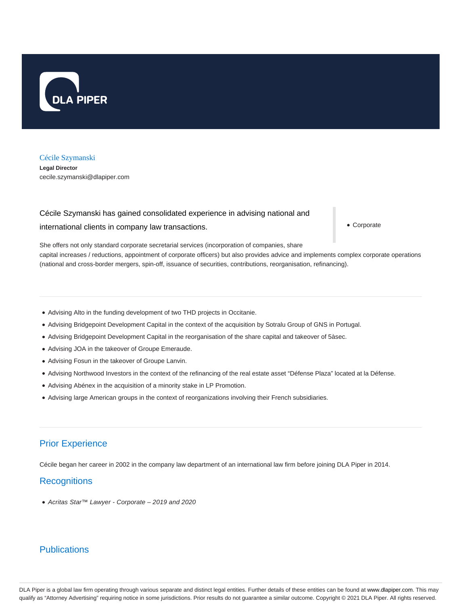

#### Cécile Szymanski

**Legal Director** cecile.szymanski@dlapiper.com

# Cécile Szymanski has gained consolidated experience in advising national and

international clients in company law transactions.

Corporate

She offers not only standard corporate secretarial services (incorporation of companies, share capital increases / reductions, appointment of corporate officers) but also provides advice and implements complex corporate operations (national and cross-border mergers, spin-off, issuance of securities, contributions, reorganisation, refinancing).

- Advising Alto in the funding development of two THD projects in Occitanie.
- Advising Bridgepoint Development Capital in the context of the acquisition by Sotralu Group of GNS in Portugal.
- Advising Bridgepoint Development Capital in the reorganisation of the share capital and takeover of 5àsec.
- Advising JOA in the takeover of Groupe Emeraude.
- Advising Fosun in the takeover of Groupe Lanvin.
- Advising Northwood Investors in the context of the refinancing of the real estate asset "Défense Plaza" located at la Défense.
- Advising Abénex in the acquisition of a minority stake in LP Promotion.
- Advising large American groups in the context of reorganizations involving their French subsidiaries.

# Prior Experience

Cécile began her career in 2002 in the company law department of an international law firm before joining DLA Piper in 2014.

#### **Recognitions**

Acritas Star™ Lawyer - Corporate – 2019 and 2020

## **Publications**

DLA Piper is a global law firm operating through various separate and distinct legal entities. Further details of these entities can be found at www.dlapiper.com. This may qualify as "Attorney Advertising" requiring notice in some jurisdictions. Prior results do not guarantee a similar outcome. Copyright @ 2021 DLA Piper. All rights reserved.